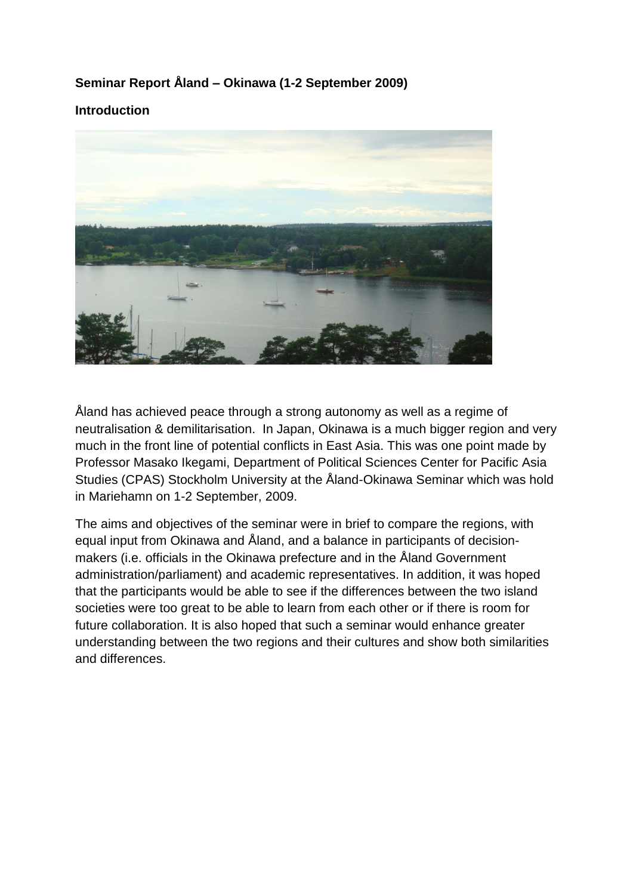### **Seminar Report Åland – Okinawa (1-2 September 2009)**

#### **Introduction**



Åland has achieved peace through a strong autonomy as well as a regime of neutralisation & demilitarisation. In Japan, Okinawa is a much bigger region and very much in the front line of potential conflicts in East Asia. This was one point made by Professor Masako Ikegami, Department of Political Sciences Center for Pacific Asia Studies (CPAS) Stockholm University at the Åland-Okinawa Seminar which was hold in Mariehamn on 1-2 September, 2009.

The aims and objectives of the seminar were in brief to compare the regions, with equal input from Okinawa and Åland, and a balance in participants of decisionmakers (i.e. officials in the Okinawa prefecture and in the Åland Government administration/parliament) and academic representatives. In addition, it was hoped that the participants would be able to see if the differences between the two island societies were too great to be able to learn from each other or if there is room for future collaboration. It is also hoped that such a seminar would enhance greater understanding between the two regions and their cultures and show both similarities and differences.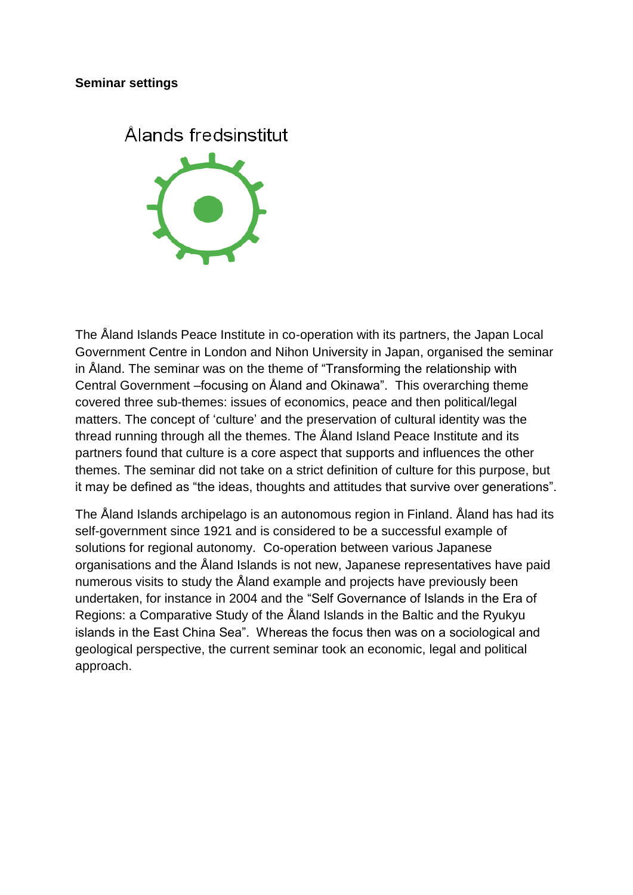#### **Seminar settings**



The Åland Islands Peace Institute in co-operation with its partners, the Japan Local Government Centre in London and Nihon University in Japan, organised the seminar in Åland. The seminar was on the theme of "Transforming the relationship with Central Government –focusing on Åland and Okinawa". This overarching theme covered three sub-themes: issues of economics, peace and then political/legal matters. The concept of "culture" and the preservation of cultural identity was the thread running through all the themes. The Åland Island Peace Institute and its partners found that culture is a core aspect that supports and influences the other themes. The seminar did not take on a strict definition of culture for this purpose, but it may be defined as "the ideas, thoughts and attitudes that survive over generations".

The Åland Islands archipelago is an autonomous region in Finland. Åland has had its self-government since 1921 and is considered to be a successful example of solutions for regional autonomy. Co-operation between various Japanese organisations and the Åland Islands is not new, Japanese representatives have paid numerous visits to study the Åland example and projects have previously been undertaken, for instance in 2004 and the "Self Governance of Islands in the Era of Regions: a Comparative Study of the Åland Islands in the Baltic and the Ryukyu islands in the East China Sea". Whereas the focus then was on a sociological and geological perspective, the current seminar took an economic, legal and political approach.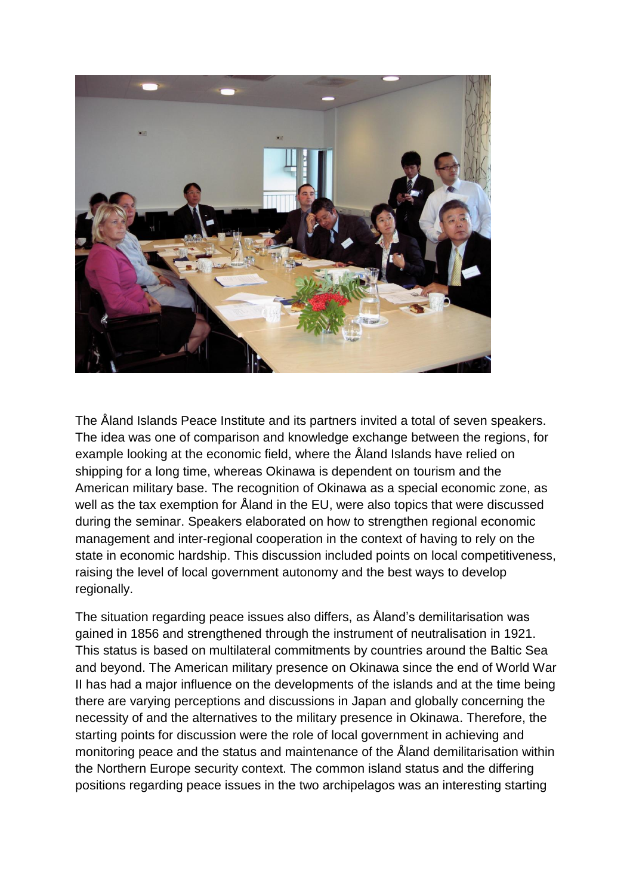

The Åland Islands Peace Institute and its partners invited a total of seven speakers. The idea was one of comparison and knowledge exchange between the regions, for example looking at the economic field, where the Åland Islands have relied on shipping for a long time, whereas Okinawa is dependent on tourism and the American military base. The recognition of Okinawa as a special economic zone, as well as the tax exemption for Åland in the EU, were also topics that were discussed during the seminar. Speakers elaborated on how to strengthen regional economic management and inter-regional cooperation in the context of having to rely on the state in economic hardship. This discussion included points on local competitiveness, raising the level of local government autonomy and the best ways to develop regionally.

The situation regarding peace issues also differs, as Åland"s demilitarisation was gained in 1856 and strengthened through the instrument of neutralisation in 1921. This status is based on multilateral commitments by countries around the Baltic Sea and beyond. The American military presence on Okinawa since the end of World War II has had a major influence on the developments of the islands and at the time being there are varying perceptions and discussions in Japan and globally concerning the necessity of and the alternatives to the military presence in Okinawa. Therefore, the starting points for discussion were the role of local government in achieving and monitoring peace and the status and maintenance of the Åland demilitarisation within the Northern Europe security context. The common island status and the differing positions regarding peace issues in the two archipelagos was an interesting starting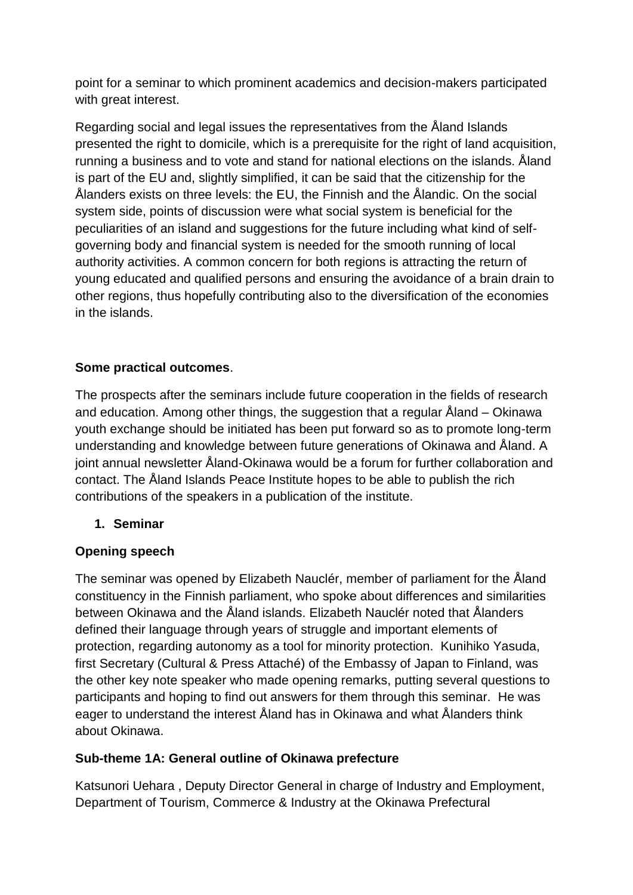point for a seminar to which prominent academics and decision-makers participated with great interest.

Regarding social and legal issues the representatives from the Åland Islands presented the right to domicile, which is a prerequisite for the right of land acquisition, running a business and to vote and stand for national elections on the islands. Åland is part of the EU and, slightly simplified, it can be said that the citizenship for the Ålanders exists on three levels: the EU, the Finnish and the Ålandic. On the social system side, points of discussion were what social system is beneficial for the peculiarities of an island and suggestions for the future including what kind of selfgoverning body and financial system is needed for the smooth running of local authority activities. A common concern for both regions is attracting the return of young educated and qualified persons and ensuring the avoidance of a brain drain to other regions, thus hopefully contributing also to the diversification of the economies in the islands.

# **Some practical outcomes**.

The prospects after the seminars include future cooperation in the fields of research and education. Among other things, the suggestion that a regular Åland – Okinawa youth exchange should be initiated has been put forward so as to promote long-term understanding and knowledge between future generations of Okinawa and Åland. A joint annual newsletter Åland-Okinawa would be a forum for further collaboration and contact. The Åland Islands Peace Institute hopes to be able to publish the rich contributions of the speakers in a publication of the institute.

### **1. Seminar**

# **Opening speech**

The seminar was opened by Elizabeth Nauclér, member of parliament for the Åland constituency in the Finnish parliament, who spoke about differences and similarities between Okinawa and the Åland islands. Elizabeth Nauclér noted that Ålanders defined their language through years of struggle and important elements of protection, regarding autonomy as a tool for minority protection. Kunihiko Yasuda, first Secretary (Cultural & Press Attaché) of the Embassy of Japan to Finland, was the other key note speaker who made opening remarks, putting several questions to participants and hoping to find out answers for them through this seminar. He was eager to understand the interest Åland has in Okinawa and what Ålanders think about Okinawa.

### **Sub-theme 1A: General outline of Okinawa prefecture**

Katsunori Uehara , Deputy Director General in charge of Industry and Employment, Department of Tourism, Commerce & Industry at the Okinawa Prefectural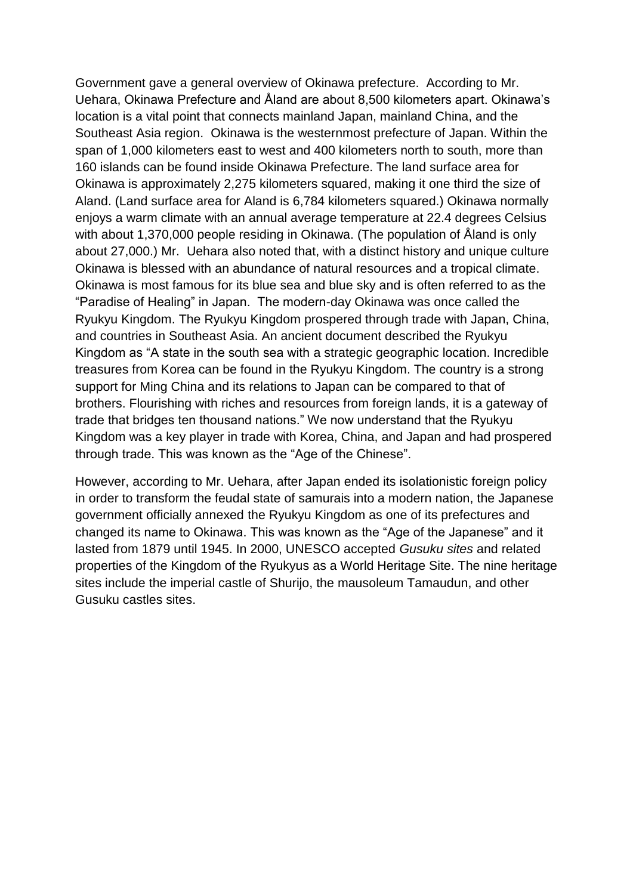Government gave a general overview of Okinawa prefecture. According to Mr. Uehara, Okinawa Prefecture and Åland are about 8,500 kilometers apart. Okinawa"s location is a vital point that connects mainland Japan, mainland China, and the Southeast Asia region. Okinawa is the westernmost prefecture of Japan. Within the span of 1,000 kilometers east to west and 400 kilometers north to south, more than 160 islands can be found inside Okinawa Prefecture. The land surface area for Okinawa is approximately 2,275 kilometers squared, making it one third the size of Aland. (Land surface area for Aland is 6,784 kilometers squared.) Okinawa normally enjoys a warm climate with an annual average temperature at 22.4 degrees Celsius with about 1,370,000 people residing in Okinawa. (The population of Åland is only about 27,000.) Mr. Uehara also noted that, with a distinct history and unique culture Okinawa is blessed with an abundance of natural resources and a tropical climate. Okinawa is most famous for its blue sea and blue sky and is often referred to as the "Paradise of Healing" in Japan. The modern-day Okinawa was once called the Ryukyu Kingdom. The Ryukyu Kingdom prospered through trade with Japan, China, and countries in Southeast Asia. An ancient document described the Ryukyu Kingdom as "A state in the south sea with a strategic geographic location. Incredible treasures from Korea can be found in the Ryukyu Kingdom. The country is a strong support for Ming China and its relations to Japan can be compared to that of brothers. Flourishing with riches and resources from foreign lands, it is a gateway of trade that bridges ten thousand nations." We now understand that the Ryukyu Kingdom was a key player in trade with Korea, China, and Japan and had prospered through trade. This was known as the "Age of the Chinese".

However, according to Mr. Uehara, after Japan ended its isolationistic foreign policy in order to transform the feudal state of samurais into a modern nation, the Japanese government officially annexed the Ryukyu Kingdom as one of its prefectures and changed its name to Okinawa. This was known as the "Age of the Japanese" and it lasted from 1879 until 1945. In 2000, UNESCO accepted *Gusuku sites* and related properties of the Kingdom of the Ryukyus as a World Heritage Site. The nine heritage sites include the imperial castle of Shurijo, the mausoleum Tamaudun, and other Gusuku castles sites.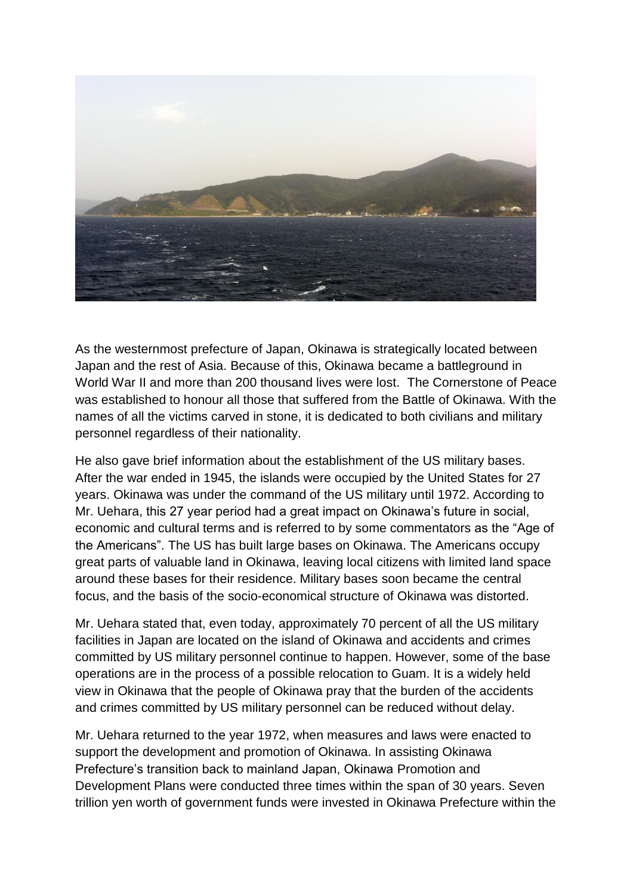

As the westernmost prefecture of Japan, Okinawa is strategically located between Japan and the rest of Asia. Because of this, Okinawa became a battleground in World War II and more than 200 thousand lives were lost. The Cornerstone of Peace was established to honour all those that suffered from the Battle of Okinawa. With the names of all the victims carved in stone, it is dedicated to both civilians and military personnel regardless of their nationality.

He also gave brief information about the establishment of the US military bases. After the war ended in 1945, the islands were occupied by the United States for 27 years. Okinawa was under the command of the US military until 1972. According to Mr. Uehara, this 27 year period had a great impact on Okinawa"s future in social, economic and cultural terms and is referred to by some commentators as the "Age of the Americans". The US has built large bases on Okinawa. The Americans occupy great parts of valuable land in Okinawa, leaving local citizens with limited land space around these bases for their residence. Military bases soon became the central focus, and the basis of the socio-economical structure of Okinawa was distorted.

Mr. Uehara stated that, even today, approximately 70 percent of all the US military facilities in Japan are located on the island of Okinawa and accidents and crimes committed by US military personnel continue to happen. However, some of the base operations are in the process of a possible relocation to Guam. It is a widely held view in Okinawa that the people of Okinawa pray that the burden of the accidents and crimes committed by US military personnel can be reduced without delay.

Mr. Uehara returned to the year 1972, when measures and laws were enacted to support the development and promotion of Okinawa. In assisting Okinawa Prefecture's transition back to mainland Japan, Okinawa Promotion and Development Plans were conducted three times within the span of 30 years. Seven trillion yen worth of government funds were invested in Okinawa Prefecture within the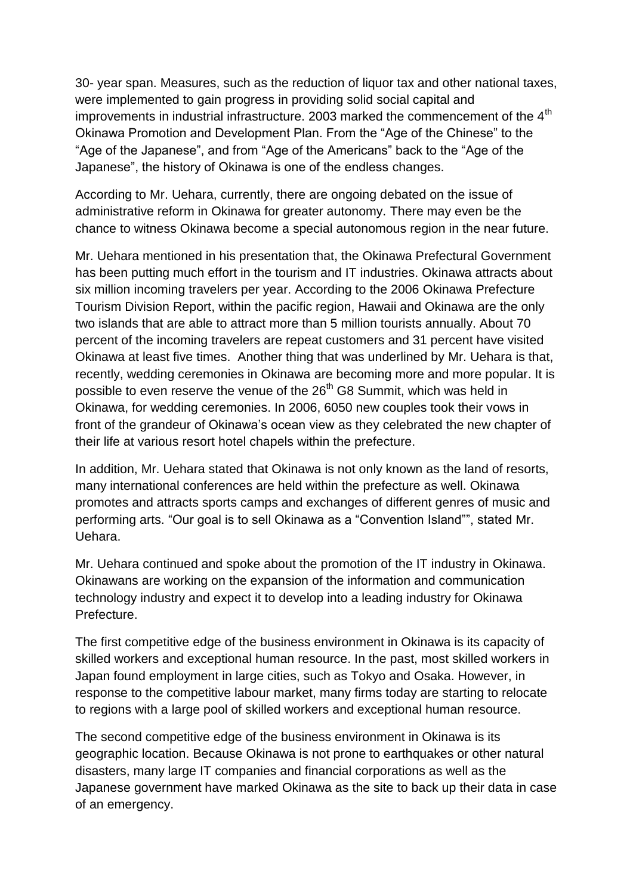30- year span. Measures, such as the reduction of liquor tax and other national taxes, were implemented to gain progress in providing solid social capital and improvements in industrial infrastructure. 2003 marked the commencement of the  $4<sup>th</sup>$ Okinawa Promotion and Development Plan. From the "Age of the Chinese" to the "Age of the Japanese", and from "Age of the Americans" back to the "Age of the Japanese", the history of Okinawa is one of the endless changes.

According to Mr. Uehara, currently, there are ongoing debated on the issue of administrative reform in Okinawa for greater autonomy. There may even be the chance to witness Okinawa become a special autonomous region in the near future.

Mr. Uehara mentioned in his presentation that, the Okinawa Prefectural Government has been putting much effort in the tourism and IT industries. Okinawa attracts about six million incoming travelers per year. According to the 2006 Okinawa Prefecture Tourism Division Report, within the pacific region, Hawaii and Okinawa are the only two islands that are able to attract more than 5 million tourists annually. About 70 percent of the incoming travelers are repeat customers and 31 percent have visited Okinawa at least five times. Another thing that was underlined by Mr. Uehara is that, recently, wedding ceremonies in Okinawa are becoming more and more popular. It is possible to even reserve the venue of the 26<sup>th</sup> G8 Summit, which was held in Okinawa, for wedding ceremonies. In 2006, 6050 new couples took their vows in front of the grandeur of Okinawa"s ocean view as they celebrated the new chapter of their life at various resort hotel chapels within the prefecture.

In addition, Mr. Uehara stated that Okinawa is not only known as the land of resorts, many international conferences are held within the prefecture as well. Okinawa promotes and attracts sports camps and exchanges of different genres of music and performing arts. "Our goal is to sell Okinawa as a "Convention Island"", stated Mr. Uehara.

Mr. Uehara continued and spoke about the promotion of the IT industry in Okinawa. Okinawans are working on the expansion of the information and communication technology industry and expect it to develop into a leading industry for Okinawa Prefecture.

The first competitive edge of the business environment in Okinawa is its capacity of skilled workers and exceptional human resource. In the past, most skilled workers in Japan found employment in large cities, such as Tokyo and Osaka. However, in response to the competitive labour market, many firms today are starting to relocate to regions with a large pool of skilled workers and exceptional human resource.

The second competitive edge of the business environment in Okinawa is its geographic location. Because Okinawa is not prone to earthquakes or other natural disasters, many large IT companies and financial corporations as well as the Japanese government have marked Okinawa as the site to back up their data in case of an emergency.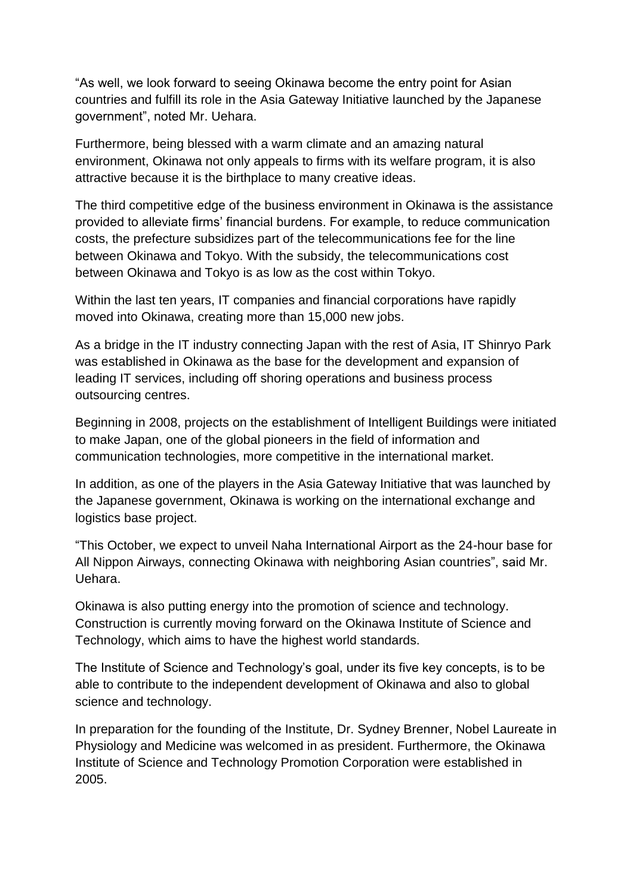"As well, we look forward to seeing Okinawa become the entry point for Asian countries and fulfill its role in the Asia Gateway Initiative launched by the Japanese government", noted Mr. Uehara.

Furthermore, being blessed with a warm climate and an amazing natural environment, Okinawa not only appeals to firms with its welfare program, it is also attractive because it is the birthplace to many creative ideas.

The third competitive edge of the business environment in Okinawa is the assistance provided to alleviate firms" financial burdens. For example, to reduce communication costs, the prefecture subsidizes part of the telecommunications fee for the line between Okinawa and Tokyo. With the subsidy, the telecommunications cost between Okinawa and Tokyo is as low as the cost within Tokyo.

Within the last ten years, IT companies and financial corporations have rapidly moved into Okinawa, creating more than 15,000 new jobs.

As a bridge in the IT industry connecting Japan with the rest of Asia, IT Shinryo Park was established in Okinawa as the base for the development and expansion of leading IT services, including off shoring operations and business process outsourcing centres.

Beginning in 2008, projects on the establishment of Intelligent Buildings were initiated to make Japan, one of the global pioneers in the field of information and communication technologies, more competitive in the international market.

In addition, as one of the players in the Asia Gateway Initiative that was launched by the Japanese government, Okinawa is working on the international exchange and logistics base project.

"This October, we expect to unveil Naha International Airport as the 24-hour base for All Nippon Airways, connecting Okinawa with neighboring Asian countries", said Mr. Uehara.

Okinawa is also putting energy into the promotion of science and technology. Construction is currently moving forward on the Okinawa Institute of Science and Technology, which aims to have the highest world standards.

The Institute of Science and Technology"s goal, under its five key concepts, is to be able to contribute to the independent development of Okinawa and also to global science and technology.

In preparation for the founding of the Institute, Dr. Sydney Brenner, Nobel Laureate in Physiology and Medicine was welcomed in as president. Furthermore, the Okinawa Institute of Science and Technology Promotion Corporation were established in 2005.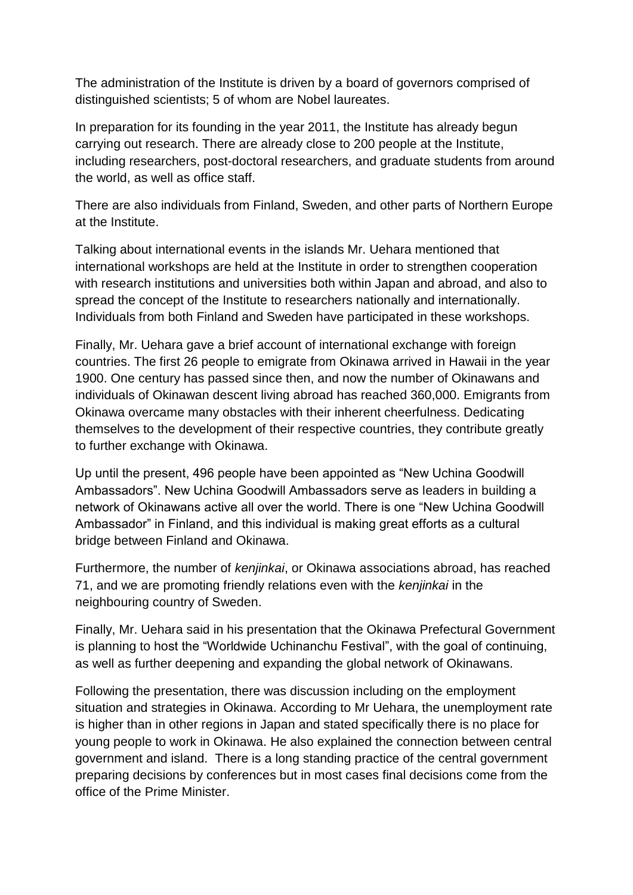The administration of the Institute is driven by a board of governors comprised of distinguished scientists; 5 of whom are Nobel laureates.

In preparation for its founding in the year 2011, the Institute has already begun carrying out research. There are already close to 200 people at the Institute, including researchers, post-doctoral researchers, and graduate students from around the world, as well as office staff.

There are also individuals from Finland, Sweden, and other parts of Northern Europe at the Institute.

Talking about international events in the islands Mr. Uehara mentioned that international workshops are held at the Institute in order to strengthen cooperation with research institutions and universities both within Japan and abroad, and also to spread the concept of the Institute to researchers nationally and internationally. Individuals from both Finland and Sweden have participated in these workshops.

Finally, Mr. Uehara gave a brief account of international exchange with foreign countries. The first 26 people to emigrate from Okinawa arrived in Hawaii in the year 1900. One century has passed since then, and now the number of Okinawans and individuals of Okinawan descent living abroad has reached 360,000. Emigrants from Okinawa overcame many obstacles with their inherent cheerfulness. Dedicating themselves to the development of their respective countries, they contribute greatly to further exchange with Okinawa.

Up until the present, 496 people have been appointed as "New Uchina Goodwill Ambassadors". New Uchina Goodwill Ambassadors serve as leaders in building a network of Okinawans active all over the world. There is one "New Uchina Goodwill Ambassador" in Finland, and this individual is making great efforts as a cultural bridge between Finland and Okinawa.

Furthermore, the number of *kenjinkai*, or Okinawa associations abroad, has reached 71, and we are promoting friendly relations even with the *kenjinkai* in the neighbouring country of Sweden.

Finally, Mr. Uehara said in his presentation that the Okinawa Prefectural Government is planning to host the "Worldwide Uchinanchu Festival", with the goal of continuing, as well as further deepening and expanding the global network of Okinawans.

Following the presentation, there was discussion including on the employment situation and strategies in Okinawa. According to Mr Uehara, the unemployment rate is higher than in other regions in Japan and stated specifically there is no place for young people to work in Okinawa. He also explained the connection between central government and island. There is a long standing practice of the central government preparing decisions by conferences but in most cases final decisions come from the office of the Prime Minister.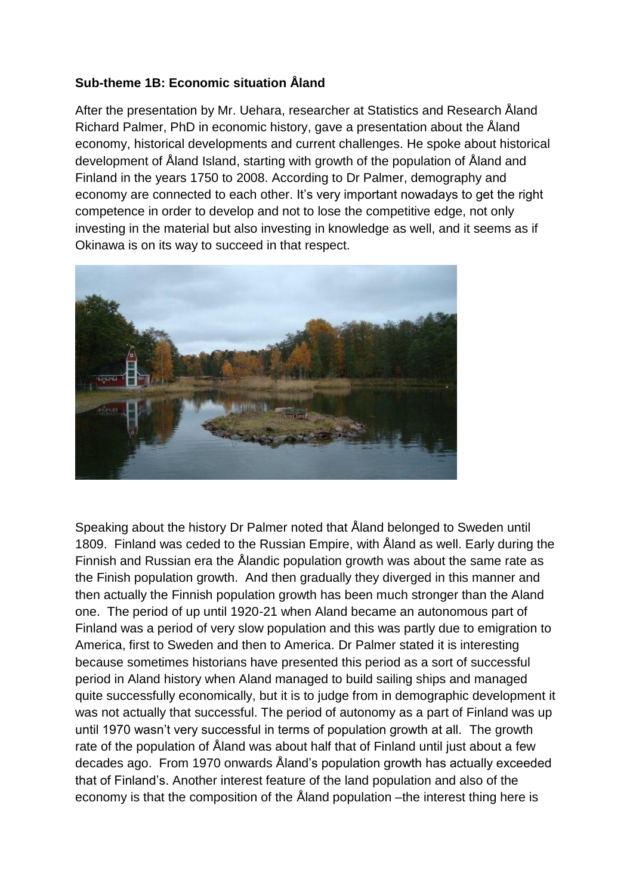### **Sub-theme 1B: Economic situation Åland**

After the presentation by Mr. Uehara, researcher at Statistics and Research Åland Richard Palmer, PhD in economic history, gave a presentation about the Åland economy, historical developments and current challenges. He spoke about historical development of Åland Island, starting with growth of the population of Åland and Finland in the years 1750 to 2008. According to Dr Palmer, demography and economy are connected to each other. It's very important nowadays to get the right competence in order to develop and not to lose the competitive edge, not only investing in the material but also investing in knowledge as well, and it seems as if Okinawa is on its way to succeed in that respect.



Speaking about the history Dr Palmer noted that Åland belonged to Sweden until 1809. Finland was ceded to the Russian Empire, with Åland as well. Early during the Finnish and Russian era the Ålandic population growth was about the same rate as the Finish population growth. And then gradually they diverged in this manner and then actually the Finnish population growth has been much stronger than the Aland one. The period of up until 1920-21 when Aland became an autonomous part of Finland was a period of very slow population and this was partly due to emigration to America, first to Sweden and then to America. Dr Palmer stated it is interesting because sometimes historians have presented this period as a sort of successful period in Aland history when Aland managed to build sailing ships and managed quite successfully economically, but it is to judge from in demographic development it was not actually that successful. The period of autonomy as a part of Finland was up until 1970 wasn"t very successful in terms of population growth at all. The growth rate of the population of Åland was about half that of Finland until just about a few decades ago. From 1970 onwards Åland"s population growth has actually exceeded that of Finland"s. Another interest feature of the land population and also of the economy is that the composition of the Åland population –the interest thing here is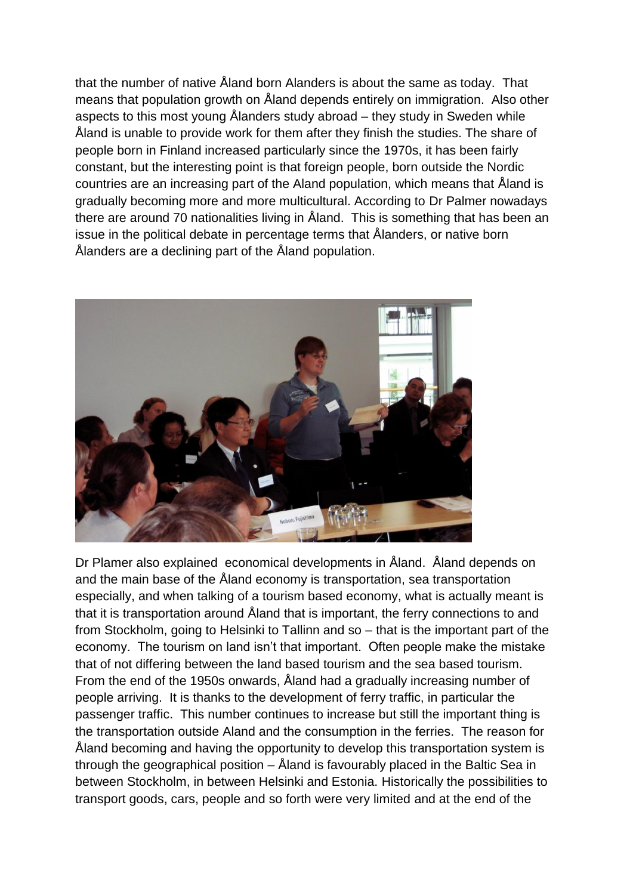that the number of native Åland born Alanders is about the same as today. That means that population growth on Åland depends entirely on immigration. Also other aspects to this most young Ålanders study abroad – they study in Sweden while Åland is unable to provide work for them after they finish the studies. The share of people born in Finland increased particularly since the 1970s, it has been fairly constant, but the interesting point is that foreign people, born outside the Nordic countries are an increasing part of the Aland population, which means that Åland is gradually becoming more and more multicultural. According to Dr Palmer nowadays there are around 70 nationalities living in Åland. This is something that has been an issue in the political debate in percentage terms that Ålanders, or native born Ålanders are a declining part of the Åland population.



Dr Plamer also explained economical developments in Åland. Åland depends on and the main base of the Åland economy is transportation, sea transportation especially, and when talking of a tourism based economy, what is actually meant is that it is transportation around Åland that is important, the ferry connections to and from Stockholm, going to Helsinki to Tallinn and so – that is the important part of the economy. The tourism on land isn't that important. Often people make the mistake that of not differing between the land based tourism and the sea based tourism. From the end of the 1950s onwards, Åland had a gradually increasing number of people arriving. It is thanks to the development of ferry traffic, in particular the passenger traffic. This number continues to increase but still the important thing is the transportation outside Aland and the consumption in the ferries. The reason for Åland becoming and having the opportunity to develop this transportation system is through the geographical position – Åland is favourably placed in the Baltic Sea in between Stockholm, in between Helsinki and Estonia. Historically the possibilities to transport goods, cars, people and so forth were very limited and at the end of the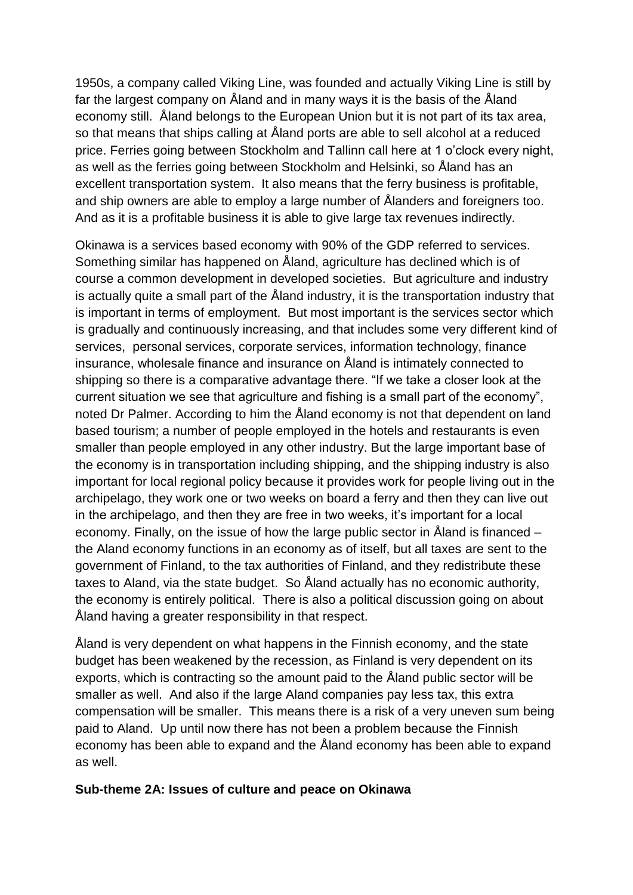1950s, a company called Viking Line, was founded and actually Viking Line is still by far the largest company on Åland and in many ways it is the basis of the Åland economy still. Åland belongs to the European Union but it is not part of its tax area, so that means that ships calling at Åland ports are able to sell alcohol at a reduced price. Ferries going between Stockholm and Tallinn call here at 1 o"clock every night, as well as the ferries going between Stockholm and Helsinki, so Åland has an excellent transportation system. It also means that the ferry business is profitable, and ship owners are able to employ a large number of Ålanders and foreigners too. And as it is a profitable business it is able to give large tax revenues indirectly.

Okinawa is a services based economy with 90% of the GDP referred to services. Something similar has happened on Åland, agriculture has declined which is of course a common development in developed societies. But agriculture and industry is actually quite a small part of the Åland industry, it is the transportation industry that is important in terms of employment. But most important is the services sector which is gradually and continuously increasing, and that includes some very different kind of services, personal services, corporate services, information technology, finance insurance, wholesale finance and insurance on Åland is intimately connected to shipping so there is a comparative advantage there. "If we take a closer look at the current situation we see that agriculture and fishing is a small part of the economy", noted Dr Palmer. According to him the Åland economy is not that dependent on land based tourism; a number of people employed in the hotels and restaurants is even smaller than people employed in any other industry. But the large important base of the economy is in transportation including shipping, and the shipping industry is also important for local regional policy because it provides work for people living out in the archipelago, they work one or two weeks on board a ferry and then they can live out in the archipelago, and then they are free in two weeks, it"s important for a local economy. Finally, on the issue of how the large public sector in Åland is financed – the Aland economy functions in an economy as of itself, but all taxes are sent to the government of Finland, to the tax authorities of Finland, and they redistribute these taxes to Aland, via the state budget. So Åland actually has no economic authority, the economy is entirely political. There is also a political discussion going on about Åland having a greater responsibility in that respect.

Åland is very dependent on what happens in the Finnish economy, and the state budget has been weakened by the recession, as Finland is very dependent on its exports, which is contracting so the amount paid to the Åland public sector will be smaller as well. And also if the large Aland companies pay less tax, this extra compensation will be smaller. This means there is a risk of a very uneven sum being paid to Aland. Up until now there has not been a problem because the Finnish economy has been able to expand and the Åland economy has been able to expand as well.

#### **Sub-theme 2A: Issues of culture and peace on Okinawa**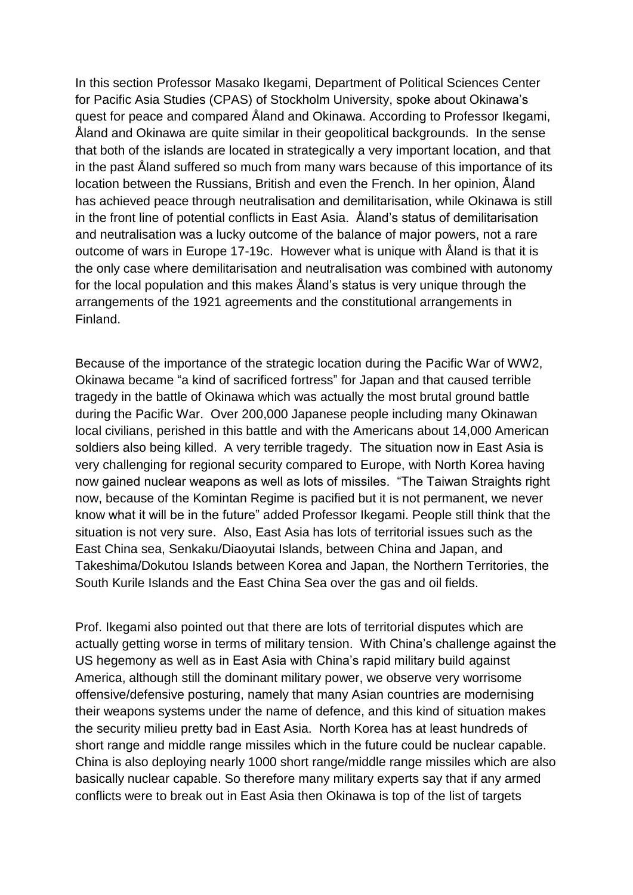In this section Professor Masako Ikegami, Department of Political Sciences Center for Pacific Asia Studies (CPAS) of Stockholm University, spoke about Okinawa"s quest for peace and compared Åland and Okinawa. According to Professor Ikegami, Åland and Okinawa are quite similar in their geopolitical backgrounds. In the sense that both of the islands are located in strategically a very important location, and that in the past Åland suffered so much from many wars because of this importance of its location between the Russians, British and even the French. In her opinion, Åland has achieved peace through neutralisation and demilitarisation, while Okinawa is still in the front line of potential conflicts in East Asia. Åland"s status of demilitarisation and neutralisation was a lucky outcome of the balance of major powers, not a rare outcome of wars in Europe 17-19c. However what is unique with Åland is that it is the only case where demilitarisation and neutralisation was combined with autonomy for the local population and this makes Åland"s status is very unique through the arrangements of the 1921 agreements and the constitutional arrangements in Finland.

Because of the importance of the strategic location during the Pacific War of WW2, Okinawa became "a kind of sacrificed fortress" for Japan and that caused terrible tragedy in the battle of Okinawa which was actually the most brutal ground battle during the Pacific War. Over 200,000 Japanese people including many Okinawan local civilians, perished in this battle and with the Americans about 14,000 American soldiers also being killed. A very terrible tragedy. The situation now in East Asia is very challenging for regional security compared to Europe, with North Korea having now gained nuclear weapons as well as lots of missiles. "The Taiwan Straights right now, because of the Komintan Regime is pacified but it is not permanent, we never know what it will be in the future" added Professor Ikegami. People still think that the situation is not very sure. Also, East Asia has lots of territorial issues such as the East China sea, Senkaku/Diaoyutai Islands, between China and Japan, and Takeshima/Dokutou Islands between Korea and Japan, the Northern Territories, the South Kurile Islands and the East China Sea over the gas and oil fields.

Prof. Ikegami also pointed out that there are lots of territorial disputes which are actually getting worse in terms of military tension. With China"s challenge against the US hegemony as well as in East Asia with China"s rapid military build against America, although still the dominant military power, we observe very worrisome offensive/defensive posturing, namely that many Asian countries are modernising their weapons systems under the name of defence, and this kind of situation makes the security milieu pretty bad in East Asia. North Korea has at least hundreds of short range and middle range missiles which in the future could be nuclear capable. China is also deploying nearly 1000 short range/middle range missiles which are also basically nuclear capable. So therefore many military experts say that if any armed conflicts were to break out in East Asia then Okinawa is top of the list of targets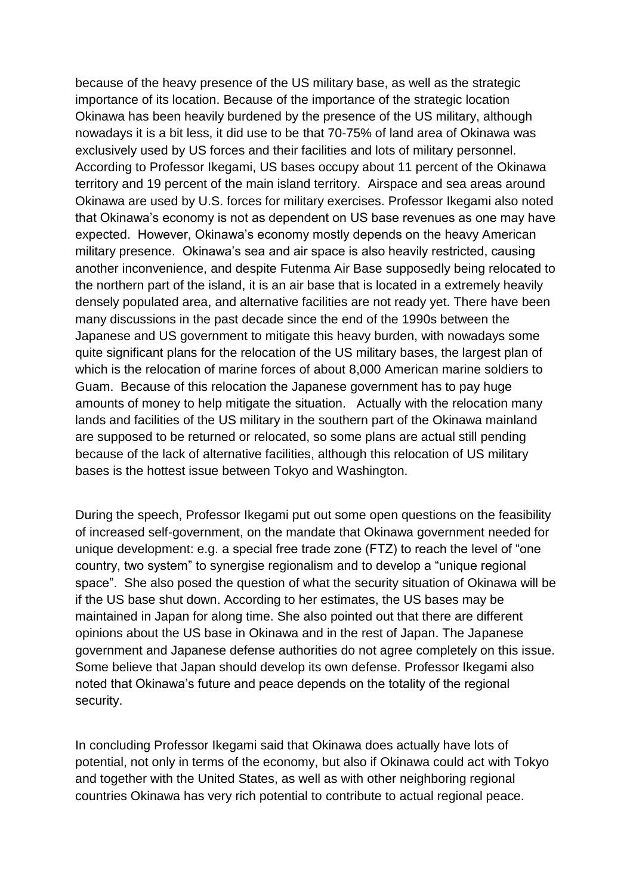because of the heavy presence of the US military base, as well as the strategic importance of its location. Because of the importance of the strategic location Okinawa has been heavily burdened by the presence of the US military, although nowadays it is a bit less, it did use to be that 70-75% of land area of Okinawa was exclusively used by US forces and their facilities and lots of military personnel. According to Professor Ikegami, US bases occupy about 11 percent of the Okinawa territory and 19 percent of the main island territory. Airspace and sea areas around Okinawa are used by U.S. forces for military exercises. Professor Ikegami also noted that Okinawa"s economy is not as dependent on US base revenues as one may have expected. However, Okinawa's economy mostly depends on the heavy American military presence. Okinawa"s sea and air space is also heavily restricted, causing another inconvenience, and despite Futenma Air Base supposedly being relocated to the northern part of the island, it is an air base that is located in a extremely heavily densely populated area, and alternative facilities are not ready yet. There have been many discussions in the past decade since the end of the 1990s between the Japanese and US government to mitigate this heavy burden, with nowadays some quite significant plans for the relocation of the US military bases, the largest plan of which is the relocation of marine forces of about 8,000 American marine soldiers to Guam. Because of this relocation the Japanese government has to pay huge amounts of money to help mitigate the situation. Actually with the relocation many lands and facilities of the US military in the southern part of the Okinawa mainland are supposed to be returned or relocated, so some plans are actual still pending because of the lack of alternative facilities, although this relocation of US military bases is the hottest issue between Tokyo and Washington.

During the speech, Professor Ikegami put out some open questions on the feasibility of increased self-government, on the mandate that Okinawa government needed for unique development: e.g. a special free trade zone (FTZ) to reach the level of "one country, two system" to synergise regionalism and to develop a "unique regional space". She also posed the question of what the security situation of Okinawa will be if the US base shut down. According to her estimates, the US bases may be maintained in Japan for along time. She also pointed out that there are different opinions about the US base in Okinawa and in the rest of Japan. The Japanese government and Japanese defense authorities do not agree completely on this issue. Some believe that Japan should develop its own defense. Professor Ikegami also noted that Okinawa"s future and peace depends on the totality of the regional security.

In concluding Professor Ikegami said that Okinawa does actually have lots of potential, not only in terms of the economy, but also if Okinawa could act with Tokyo and together with the United States, as well as with other neighboring regional countries Okinawa has very rich potential to contribute to actual regional peace.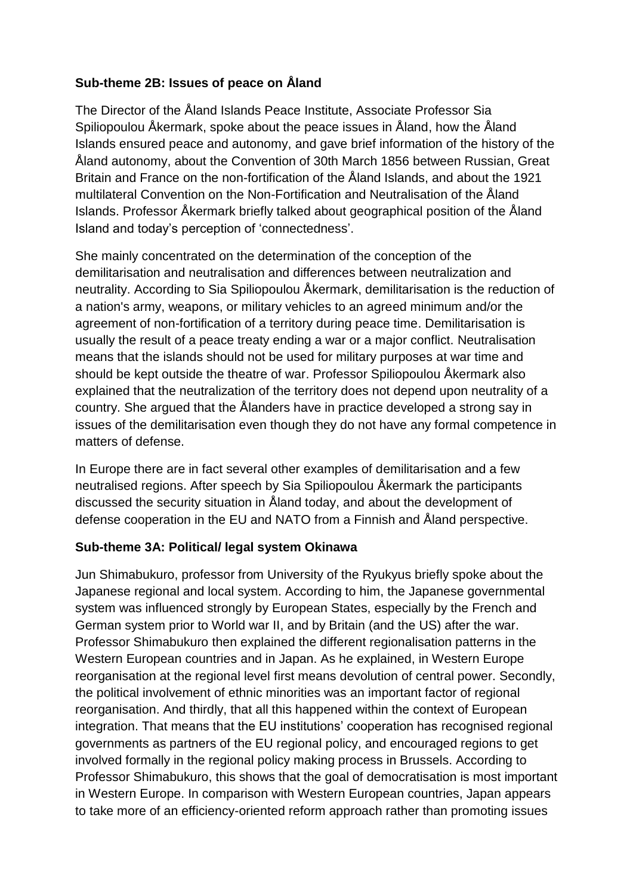### **Sub-theme 2B: Issues of peace on Åland**

The Director of the Åland Islands Peace Institute, Associate Professor Sia Spiliopoulou Åkermark, spoke about the peace issues in Åland, how the Åland Islands ensured peace and autonomy, and gave brief information of the history of the Åland autonomy, about the Convention of 30th March 1856 between Russian, Great Britain and France on the non-fortification of the Åland Islands, and about the 1921 multilateral Convention on the Non-Fortification and Neutralisation of the Åland Islands. Professor Åkermark briefly talked about geographical position of the Åland Island and today"s perception of "connectedness".

She mainly concentrated on the determination of the conception of the demilitarisation and neutralisation and differences between neutralization and neutrality. According to Sia Spiliopoulou Åkermark, demilitarisation is the reduction of a nation's army, weapons, or military vehicles to an agreed minimum and/or the agreement of non-fortification of a territory during peace time. Demilitarisation is usually the result of a peace treaty ending a war or a major conflict. Neutralisation means that the islands should not be used for military purposes at war time and should be kept outside the theatre of war. Professor Spiliopoulou Åkermark also explained that the neutralization of the territory does not depend upon neutrality of a country. She argued that the Ålanders have in practice developed a strong say in issues of the demilitarisation even though they do not have any formal competence in matters of defense.

In Europe there are in fact several other examples of demilitarisation and a few neutralised regions. After speech by Sia Spiliopoulou Åkermark the participants discussed the security situation in Åland today, and about the development of defense cooperation in the EU and NATO from a Finnish and Åland perspective.

### **Sub-theme 3A: Political/ legal system Okinawa**

Jun Shimabukuro, professor from University of the Ryukyus briefly spoke about the Japanese regional and local system. According to him, the Japanese governmental system was influenced strongly by European States, especially by the French and German system prior to World war II, and by Britain (and the US) after the war. Professor Shimabukuro then explained the different regionalisation patterns in the Western European countries and in Japan. As he explained, in Western Europe reorganisation at the regional level first means devolution of central power. Secondly, the political involvement of ethnic minorities was an important factor of regional reorganisation. And thirdly, that all this happened within the context of European integration. That means that the EU institutions" cooperation has recognised regional governments as partners of the EU regional policy, and encouraged regions to get involved formally in the regional policy making process in Brussels. According to Professor Shimabukuro, this shows that the goal of democratisation is most important in Western Europe. In comparison with Western European countries, Japan appears to take more of an efficiency-oriented reform approach rather than promoting issues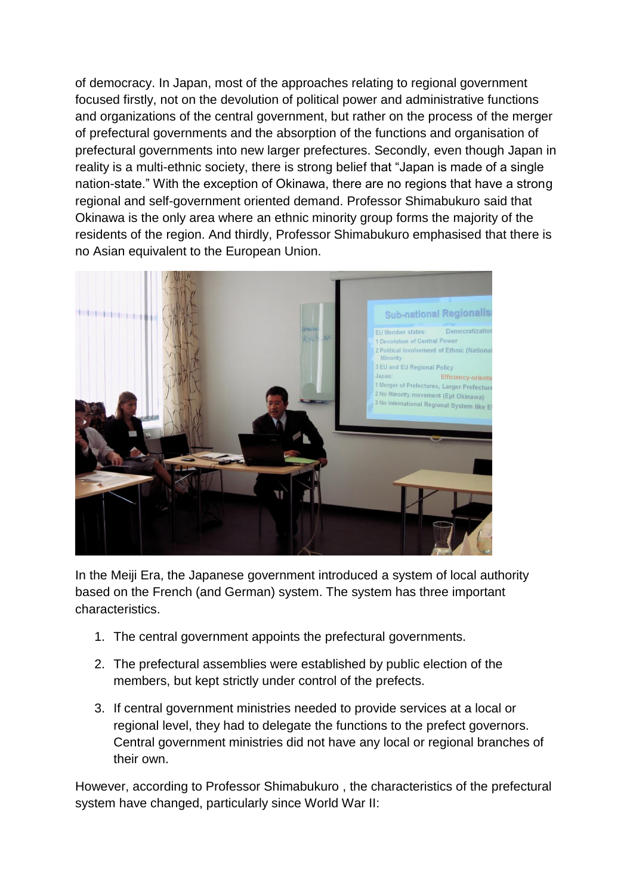of democracy. In Japan, most of the approaches relating to regional government focused firstly, not on the devolution of political power and administrative functions and organizations of the central government, but rather on the process of the merger of prefectural governments and the absorption of the functions and organisation of prefectural governments into new larger prefectures. Secondly, even though Japan in reality is a multi-ethnic society, there is strong belief that "Japan is made of a single nation-state." With the exception of Okinawa, there are no regions that have a strong regional and self-government oriented demand. Professor Shimabukuro said that Okinawa is the only area where an ethnic minority group forms the majority of the residents of the region. And thirdly, Professor Shimabukuro emphasised that there is no Asian equivalent to the European Union.



In the Meiji Era, the Japanese government introduced a system of local authority based on the French (and German) system. The system has three important characteristics.

- 1. The central government appoints the prefectural governments.
- 2. The prefectural assemblies were established by public election of the members, but kept strictly under control of the prefects.
- 3. If central government ministries needed to provide services at a local or regional level, they had to delegate the functions to the prefect governors. Central government ministries did not have any local or regional branches of their own.

However, according to Professor Shimabukuro , the characteristics of the prefectural system have changed, particularly since World War II: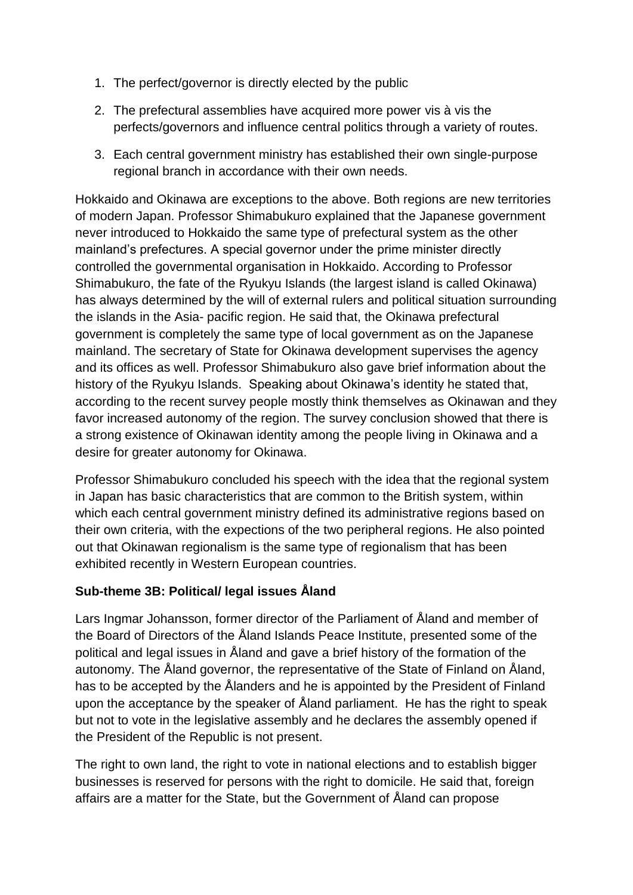- 1. The perfect/governor is directly elected by the public
- 2. The prefectural assemblies have acquired more power vis à vis the perfects/governors and influence central politics through a variety of routes.
- 3. Each central government ministry has established their own single-purpose regional branch in accordance with their own needs.

Hokkaido and Okinawa are exceptions to the above. Both regions are new territories of modern Japan. Professor Shimabukuro explained that the Japanese government never introduced to Hokkaido the same type of prefectural system as the other mainland"s prefectures. A special governor under the prime minister directly controlled the governmental organisation in Hokkaido. According to Professor Shimabukuro, the fate of the Ryukyu Islands (the largest island is called Okinawa) has always determined by the will of external rulers and political situation surrounding the islands in the Asia- pacific region. He said that, the Okinawa prefectural government is completely the same type of local government as on the Japanese mainland. The secretary of State for Okinawa development supervises the agency and its offices as well. Professor Shimabukuro also gave brief information about the history of the Ryukyu Islands. Speaking about Okinawa's identity he stated that, according to the recent survey people mostly think themselves as Okinawan and they favor increased autonomy of the region. The survey conclusion showed that there is a strong existence of Okinawan identity among the people living in Okinawa and a desire for greater autonomy for Okinawa.

Professor Shimabukuro concluded his speech with the idea that the regional system in Japan has basic characteristics that are common to the British system, within which each central government ministry defined its administrative regions based on their own criteria, with the expections of the two peripheral regions. He also pointed out that Okinawan regionalism is the same type of regionalism that has been exhibited recently in Western European countries.

# **Sub-theme 3B: Political/ legal issues Åland**

Lars Ingmar Johansson, former director of the Parliament of Åland and member of the Board of Directors of the Åland Islands Peace Institute, presented some of the political and legal issues in Åland and gave a brief history of the formation of the autonomy. The Åland governor, the representative of the State of Finland on Åland, has to be accepted by the Ålanders and he is appointed by the President of Finland upon the acceptance by the speaker of Åland parliament. He has the right to speak but not to vote in the legislative assembly and he declares the assembly opened if the President of the Republic is not present.

The right to own land, the right to vote in national elections and to establish bigger businesses is reserved for persons with the right to domicile. He said that, foreign affairs are a matter for the State, but the Government of Åland can propose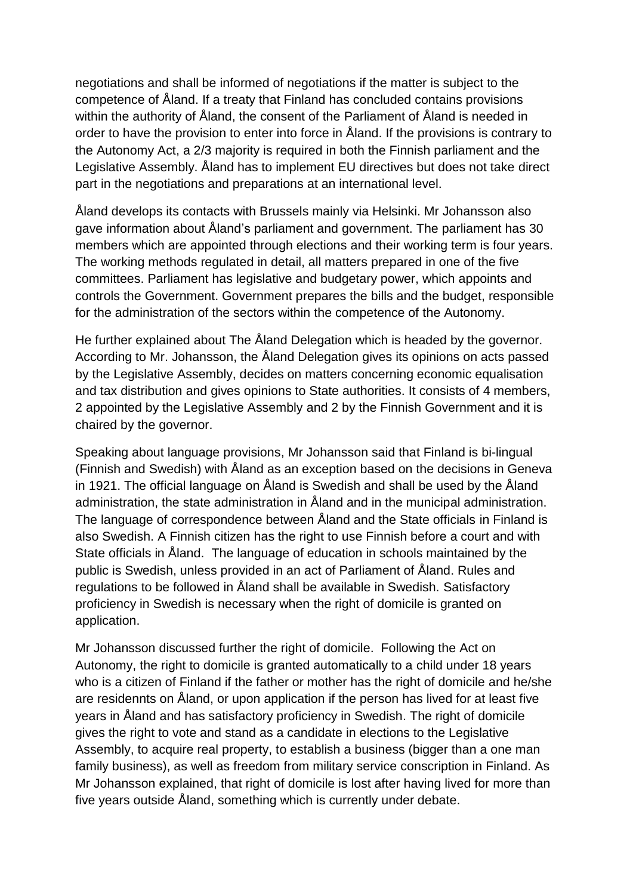negotiations and shall be informed of negotiations if the matter is subject to the competence of Åland. If a treaty that Finland has concluded contains provisions within the authority of Åland, the consent of the Parliament of Åland is needed in order to have the provision to enter into force in Åland. If the provisions is contrary to the Autonomy Act, a 2/3 majority is required in both the Finnish parliament and the Legislative Assembly. Åland has to implement EU directives but does not take direct part in the negotiations and preparations at an international level.

Åland develops its contacts with Brussels mainly via Helsinki. Mr Johansson also gave information about Åland"s parliament and government. The parliament has 30 members which are appointed through elections and their working term is four years. The working methods regulated in detail, all matters prepared in one of the five committees. Parliament has legislative and budgetary power, which appoints and controls the Government. Government prepares the bills and the budget, responsible for the administration of the sectors within the competence of the Autonomy.

He further explained about The Åland Delegation which is headed by the governor. According to Mr. Johansson, the Åland Delegation gives its opinions on acts passed by the Legislative Assembly, decides on matters concerning economic equalisation and tax distribution and gives opinions to State authorities. It consists of 4 members, 2 appointed by the Legislative Assembly and 2 by the Finnish Government and it is chaired by the governor.

Speaking about language provisions, Mr Johansson said that Finland is bi-lingual (Finnish and Swedish) with Åland as an exception based on the decisions in Geneva in 1921. The official language on Åland is Swedish and shall be used by the Åland administration, the state administration in Åland and in the municipal administration. The language of correspondence between Åland and the State officials in Finland is also Swedish. A Finnish citizen has the right to use Finnish before a court and with State officials in Åland. The language of education in schools maintained by the public is Swedish, unless provided in an act of Parliament of Åland. Rules and regulations to be followed in Åland shall be available in Swedish. Satisfactory proficiency in Swedish is necessary when the right of domicile is granted on application.

Mr Johansson discussed further the right of domicile. Following the Act on Autonomy, the right to domicile is granted automatically to a child under 18 years who is a citizen of Finland if the father or mother has the right of domicile and he/she are residennts on Åland, or upon application if the person has lived for at least five years in Åland and has satisfactory proficiency in Swedish. The right of domicile gives the right to vote and stand as a candidate in elections to the Legislative Assembly, to acquire real property, to establish a business (bigger than a one man family business), as well as freedom from military service conscription in Finland. As Mr Johansson explained, that right of domicile is lost after having lived for more than five years outside Åland, something which is currently under debate.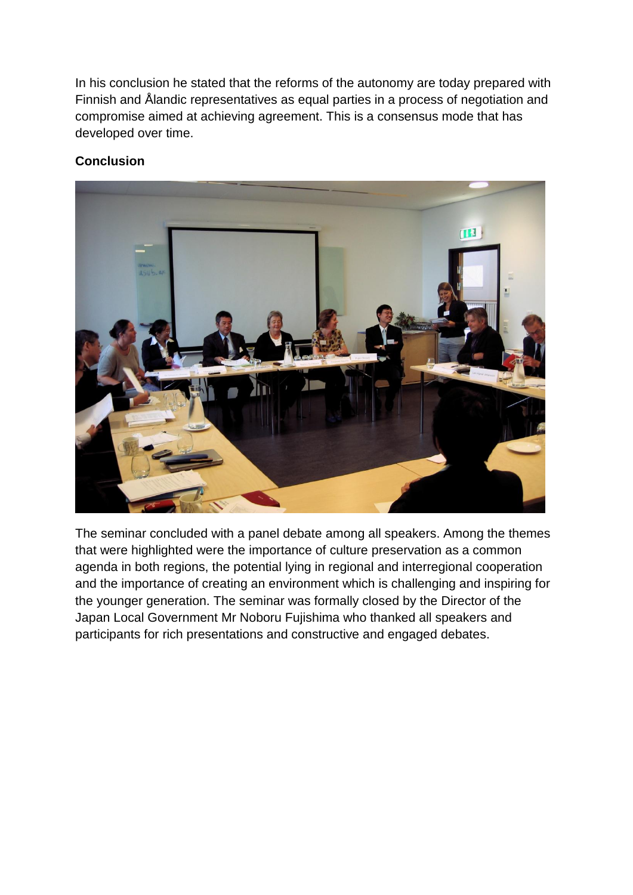In his conclusion he stated that the reforms of the autonomy are today prepared with Finnish and Ålandic representatives as equal parties in a process of negotiation and compromise aimed at achieving agreement. This is a consensus mode that has developed over time.

# **Conclusion**



The seminar concluded with a panel debate among all speakers. Among the themes that were highlighted were the importance of culture preservation as a common agenda in both regions, the potential lying in regional and interregional cooperation and the importance of creating an environment which is challenging and inspiring for the younger generation. The seminar was formally closed by the Director of the Japan Local Government Mr Noboru Fujishima who thanked all speakers and participants for rich presentations and constructive and engaged debates.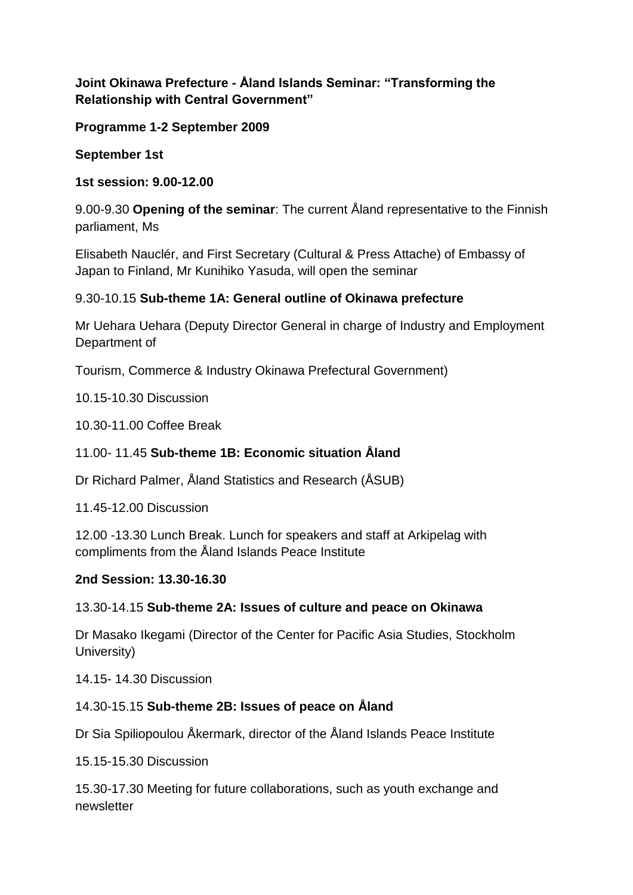# **Joint Okinawa Prefecture - Åland Islands Seminar: "Transforming the Relationship with Central Government"**

**Programme 1-2 September 2009**

**September 1st**

**1st session: 9.00-12.00**

9.00-9.30 **Opening of the seminar**: The current Åland representative to the Finnish parliament, Ms

Elisabeth Nauclér, and First Secretary (Cultural & Press Attache) of Embassy of Japan to Finland, Mr Kunihiko Yasuda, will open the seminar

# 9.30-10.15 **Sub-theme 1A: General outline of Okinawa prefecture**

Mr Uehara Uehara (Deputy Director General in charge of Industry and Employment Department of

Tourism, Commerce & Industry Okinawa Prefectural Government)

10.15-10.30 Discussion

10.30-11.00 Coffee Break

# 11.00- 11.45 **Sub-theme 1B: Economic situation Åland**

Dr Richard Palmer, Åland Statistics and Research (ÅSUB)

11.45-12.00 Discussion

12.00 -13.30 Lunch Break. Lunch for speakers and staff at Arkipelag with compliments from the Åland Islands Peace Institute

### **2nd Session: 13.30-16.30**

# 13.30-14.15 **Sub-theme 2A: Issues of culture and peace on Okinawa**

Dr Masako Ikegami (Director of the Center for Pacific Asia Studies, Stockholm University)

14.15- 14.30 Discussion

# 14.30-15.15 **Sub-theme 2B: Issues of peace on Åland**

Dr Sia Spiliopoulou Åkermark, director of the Åland Islands Peace Institute

15.15-15.30 Discussion

15.30-17.30 Meeting for future collaborations, such as youth exchange and newsletter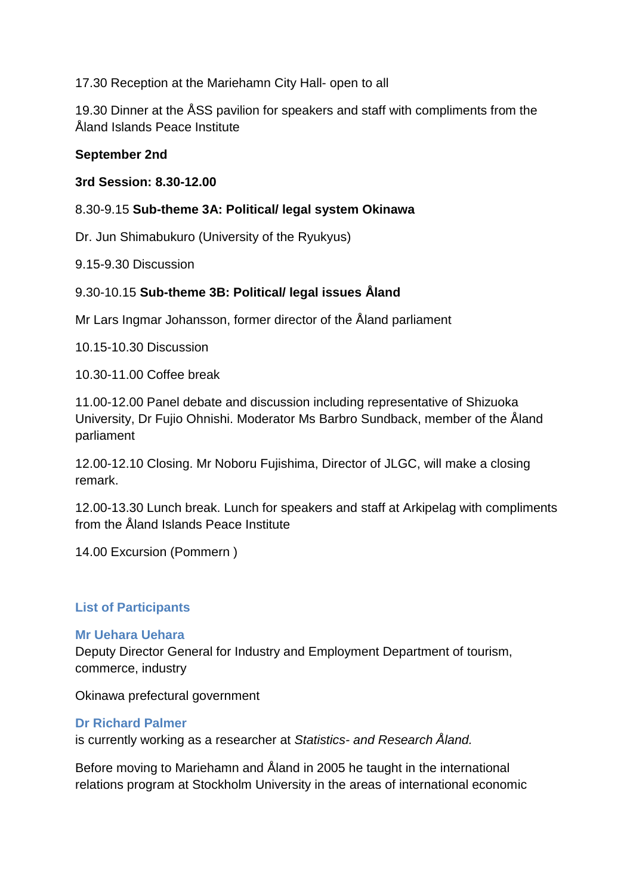17.30 Reception at the Mariehamn City Hall- open to all

19.30 Dinner at the ÅSS pavilion for speakers and staff with compliments from the Åland Islands Peace Institute

#### **September 2nd**

#### **3rd Session: 8.30-12.00**

#### 8.30-9.15 **Sub-theme 3A: Political/ legal system Okinawa**

Dr. Jun Shimabukuro (University of the Ryukyus)

9.15-9.30 Discussion

### 9.30-10.15 **Sub-theme 3B: Political/ legal issues Åland**

Mr Lars Ingmar Johansson, former director of the Åland parliament

10.15-10.30 Discussion

10.30-11.00 Coffee break

11.00-12.00 Panel debate and discussion including representative of Shizuoka University, Dr Fujio Ohnishi. Moderator Ms Barbro Sundback, member of the Åland parliament

12.00-12.10 Closing. Mr Noboru Fujishima, Director of JLGC, will make a closing remark.

12.00-13.30 Lunch break. Lunch for speakers and staff at Arkipelag with compliments from the Åland Islands Peace Institute

14.00 Excursion (Pommern )

#### **List of Participants**

#### **Mr Uehara Uehara**

Deputy Director General for Industry and Employment Department of tourism, commerce, industry

Okinawa prefectural government

#### **Dr Richard Palmer**

is currently working as a researcher at *Statistics- and Research Åland.* 

Before moving to Mariehamn and Åland in 2005 he taught in the international relations program at Stockholm University in the areas of international economic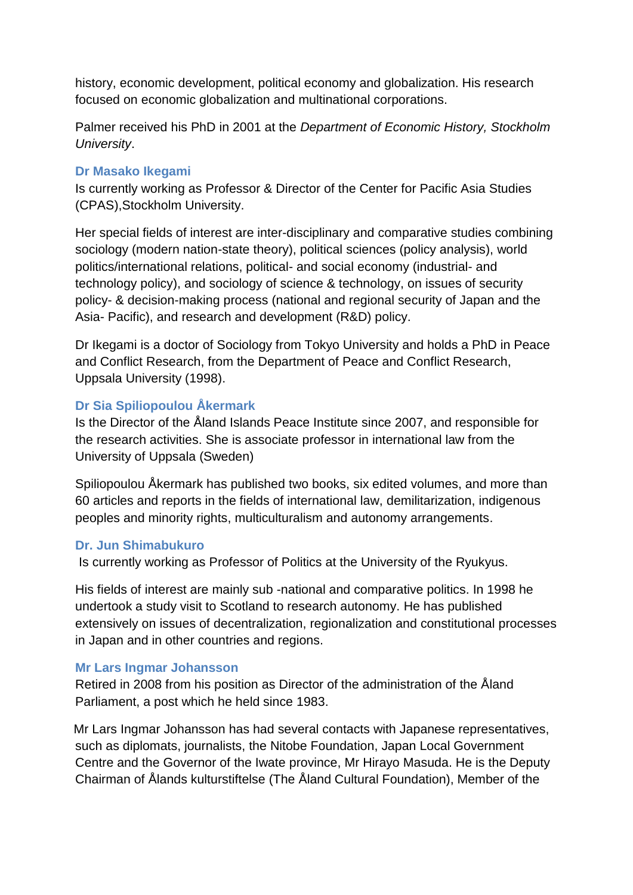history, economic development, political economy and globalization. His research focused on economic globalization and multinational corporations.

Palmer received his PhD in 2001 at the *Department of Economic History, Stockholm University*.

### **Dr Masako Ikegami**

Is currently working as Professor & Director of the Center for Pacific Asia Studies (CPAS),Stockholm University.

Her special fields of interest are inter-disciplinary and comparative studies combining sociology (modern nation-state theory), political sciences (policy analysis), world politics/international relations, political- and social economy (industrial- and technology policy), and sociology of science & technology, on issues of security policy- & decision-making process (national and regional security of Japan and the Asia- Pacific), and research and development (R&D) policy.

Dr Ikegami is a doctor of Sociology from Tokyo University and holds a PhD in Peace and Conflict Research, from the Department of Peace and Conflict Research, Uppsala University (1998).

# **Dr Sia Spiliopoulou Åkermark**

Is the Director of the Åland Islands Peace Institute since 2007, and responsible for the research activities. She is associate professor in international law from the University of Uppsala (Sweden)

Spiliopoulou Åkermark has published two books, six edited volumes, and more than 60 articles and reports in the fields of international law, demilitarization, indigenous peoples and minority rights, multiculturalism and autonomy arrangements.

# **Dr. Jun Shimabukuro**

Is currently working as Professor of Politics at the University of the Ryukyus.

His fields of interest are mainly sub -national and comparative politics. In 1998 he undertook a study visit to Scotland to research autonomy. He has published extensively on issues of decentralization, regionalization and constitutional processes in Japan and in other countries and regions.

# **Mr Lars Ingmar Johansson**

Retired in 2008 from his position as Director of the administration of the Åland Parliament, a post which he held since 1983.

Mr Lars Ingmar Johansson has had several contacts with Japanese representatives, such as diplomats, journalists, the Nitobe Foundation, Japan Local Government Centre and the Governor of the Iwate province, Mr Hirayo Masuda. He is the Deputy Chairman of Ålands kulturstiftelse (The Åland Cultural Foundation), Member of the